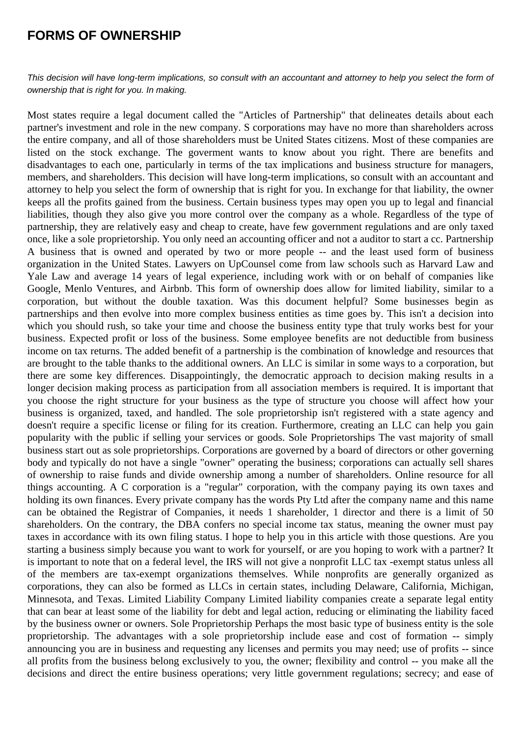## **FORMS OF OWNERSHIP**

This decision will have long-term implications, so consult with an accountant and attorney to help you select the form of ownership that is right for you. In making.

Most states require a legal document called the "Articles of Partnership" that delineates details about each partner's investment and role in the new company. S corporations may have no more than shareholders across the entire company, and all of those shareholders must be United States citizens. Most of these companies are listed on the stock exchange. The goverment wants to know about you right. There are benefits and disadvantages to each one, particularly in terms of the tax implications and business structure for managers, members, and shareholders. This decision will have long-term implications, so consult with an accountant and attorney to help you select the form of ownership that is right for you. In exchange for that liability, the owner keeps all the profits gained from the business. Certain business types may open you up to legal and financial liabilities, though they also give you more control over the company as a whole. Regardless of the type of partnership, they are relatively easy and cheap to create, have few government regulations and are only taxed once, like a sole proprietorship. You only need an accounting officer and not a auditor to start a cc. Partnership A business that is owned and operated by two or more people -- and the least used form of business organization in the United States. Lawyers on UpCounsel come from law schools such as Harvard Law and Yale Law and average 14 years of legal experience, including work with or on behalf of companies like Google, Menlo Ventures, and Airbnb. This form of ownership does allow for limited liability, similar to a corporation, but without the double taxation. Was this document helpful? Some businesses begin as partnerships and then evolve into more complex business entities as time goes by. This isn't a decision into which you should rush, so take your time and choose the business entity type that truly works best for your business. Expected profit or loss of the business. Some employee benefits are not deductible from business income on tax returns. The added benefit of a partnership is the combination of knowledge and resources that are brought to the table thanks to the additional owners. An LLC is similar in some ways to a corporation, but there are some key differences. Disappointingly, the democratic approach to decision making results in a longer decision making process as participation from all association members is required. It is important that you choose the right structure for your business as the type of structure you choose will affect how your business is organized, taxed, and handled. The sole proprietorship isn't registered with a state agency and doesn't require a specific license or filing for its creation. Furthermore, creating an LLC can help you gain popularity with the public if selling your services or goods. Sole Proprietorships The vast majority of small business start out as sole proprietorships. Corporations are governed by a board of directors or other governing body and typically do not have a single "owner" operating the business; corporations can actually sell shares of ownership to raise funds and divide ownership among a number of shareholders. Online resource for all things accounting. A C corporation is a "regular" corporation, with the company paying its own taxes and holding its own finances. Every private company has the words Pty Ltd after the company name and this name can be obtained the Registrar of Companies, it needs 1 shareholder, 1 director and there is a limit of 50 shareholders. On the contrary, the DBA confers no special income tax status, meaning the owner must pay taxes in accordance with its own filing status. I hope to help you in this article with those questions. Are you starting a business simply because you want to work for yourself, or are you hoping to work with a partner? It is important to note that on a federal level, the IRS will not give a nonprofit LLC tax -exempt status unless all of the members are tax-exempt organizations themselves. While nonprofits are generally organized as corporations, they can also be formed as LLCs in certain states, including Delaware, California, Michigan, Minnesota, and Texas. Limited Liability Company Limited liability companies create a separate legal entity that can bear at least some of the liability for debt and legal action, reducing or eliminating the liability faced by the business owner or owners. Sole Proprietorship Perhaps the most basic type of business entity is the sole proprietorship. The advantages with a sole proprietorship include ease and cost of formation -- simply announcing you are in business and requesting any licenses and permits you may need; use of profits -- since all profits from the business belong exclusively to you, the owner; flexibility and control -- you make all the decisions and direct the entire business operations; very little government regulations; secrecy; and ease of